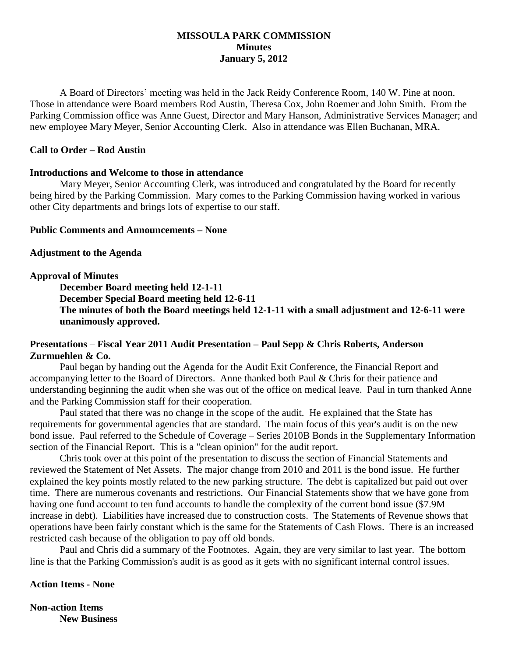## **MISSOULA PARK COMMISSION Minutes January 5, 2012**

A Board of Directors' meeting was held in the Jack Reidy Conference Room, 140 W. Pine at noon. Those in attendance were Board members Rod Austin, Theresa Cox, John Roemer and John Smith. From the Parking Commission office was Anne Guest, Director and Mary Hanson, Administrative Services Manager; and new employee Mary Meyer, Senior Accounting Clerk. Also in attendance was Ellen Buchanan, MRA.

## **Call to Order – Rod Austin**

## **Introductions and Welcome to those in attendance**

Mary Meyer, Senior Accounting Clerk, was introduced and congratulated by the Board for recently being hired by the Parking Commission. Mary comes to the Parking Commission having worked in various other City departments and brings lots of expertise to our staff.

## **Public Comments and Announcements – None**

## **Adjustment to the Agenda**

## **Approval of Minutes**

**December Board meeting held 12-1-11**

**December Special Board meeting held 12-6-11 The minutes of both the Board meetings held 12-1-11 with a small adjustment and 12-6-11 were unanimously approved.**

# **Presentations** – **Fiscal Year 2011 Audit Presentation – Paul Sepp & Chris Roberts, Anderson Zurmuehlen & Co.**

Paul began by handing out the Agenda for the Audit Exit Conference, the Financial Report and accompanying letter to the Board of Directors. Anne thanked both Paul & Chris for their patience and understanding beginning the audit when she was out of the office on medical leave. Paul in turn thanked Anne and the Parking Commission staff for their cooperation.

Paul stated that there was no change in the scope of the audit. He explained that the State has requirements for governmental agencies that are standard. The main focus of this year's audit is on the new bond issue. Paul referred to the Schedule of Coverage – Series 2010B Bonds in the Supplementary Information section of the Financial Report. This is a "clean opinion" for the audit report.

Chris took over at this point of the presentation to discuss the section of Financial Statements and reviewed the Statement of Net Assets. The major change from 2010 and 2011 is the bond issue. He further explained the key points mostly related to the new parking structure. The debt is capitalized but paid out over time. There are numerous covenants and restrictions. Our Financial Statements show that we have gone from having one fund account to ten fund accounts to handle the complexity of the current bond issue (\$7.9M increase in debt). Liabilities have increased due to construction costs. The Statements of Revenue shows that operations have been fairly constant which is the same for the Statements of Cash Flows. There is an increased restricted cash because of the obligation to pay off old bonds.

Paul and Chris did a summary of the Footnotes. Again, they are very similar to last year. The bottom line is that the Parking Commission's audit is as good as it gets with no significant internal control issues.

#### **Action Items - None**

**Non-action Items New Business**